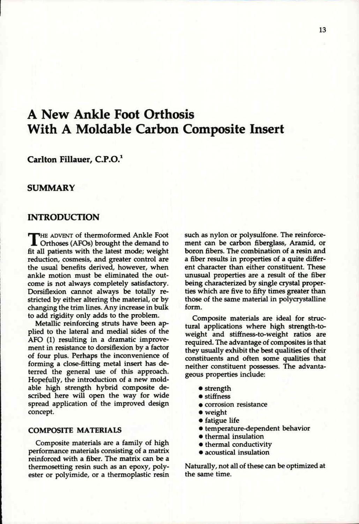# **A New Ankle Foot Orthosis With A Moldable Carbon Composite Insert**

## **Carlton Fillauer, C.P.O.<sup>1</sup>**

## **SUMMARY**

## **INTRODUCTION**

THE ADVENT of thermoformed Ankle Foot<br>
fit all patients with the latest mode; weight **he advent** of thermoformed Ankle Foot Orthoses (AFOs) brought the demand to reduction, cosmesis, and greater control are the usual benefits derived, however, when ankle motion must be eliminated the outcome is not always completely satisfactory. Dorsiflexion cannot always be totally restricted by either altering the material, or by changing the trim lines. Any increase in bulk to add rigidity only adds to the problem.

Metallic reinforcing struts have been applied to the lateral and medial sides of the AFO (1) resulting in a dramatic improvement in resistance to dorsiflexion by a factor of four plus. Perhaps the inconvenience of forming a close-fitting metal insert has deterred the general use of this approach. Hopefully, the introduction of a new moldable high strength hybrid composite described here will open the way for wide spread application of the improved design concept.

### **COMPOSITE MATERIALS**

Composite materials are a family of high performance materials consisting of a matrix reinforced with a fiber. The matrix can be a thermosetting resin such as an epoxy, polyester or polyimide, or a thermoplastic resin such as nylon or polysulfone. The reinforcement can be carbon fiberglass, Aramid, or boron fibers. The combination of a resin and a fiber results in properties of a quite different character than either constituent. These unusual properties are a result of the fiber being characterized by single crystal properties which are five to fifty times greater than those of the same material in polycrystalline form.

Composite materials are ideal for structural applications where high strength-toweight and stiffness-to-weight ratios are required. The advantage of composites is that they usually exhibit the best qualities of their constituents and often some qualities that neither constituent possesses. The advantageous properties include:

- strength
- stiffness
- corrosion resistance
- weight
- fatigue life
- temperature-dependent behavior
- thermal insulation
- thermal conductivity
- acoustical insulation

Naturally, not all of these can be optimized at the same time.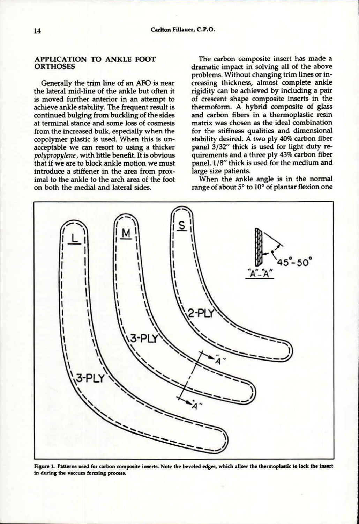### **APPLICATION TO ANKLE FOOT ORTHOSES**

Generally the trim line of an **AFO** is near the lateral mid-line of the ankle but often it is moved further anterior in an attempt to achieve ankle stability. The frequent result is continued bulging from buckling of the sides at terminal stance and some loss of cosmesis from the increased bulk, especially when the copolymer plastic is used. When this is unacceptable we can resort to using a thicker *polypropylene,* with little benefit. It is obvious that if we are to block ankle motion we must introduce a stiffener in the area from proximal to the ankle to the arch area of the foot on both the medial and lateral sides.

The carbon composite insert has made a dramatic impact in solving all of the above problems. Without changing trim lines or increasing thickness, almost complete ankle rigidity can be achieved by including a pair of crescent shape composite inserts in the thermoform. A hybrid composite of glass and carbon fibers in a thermoplastic resin matrix was chosen as the ideal combination for the stiffness qualities and dimensional stability desired. A two ply 40% carbon fiber panel 3/32" thick is used for light duty requirements and a three ply 43% carbon fiber panel, 1/8" thick is used for the medium and large size patients.

When the ankle angle is in the normal range of about 5° to 10° of plantar flexion one



**Figure 1. Patterns used for carbon composite inserts. Note the beveled edges, which allow the thermoplastic to lock the insert in during the vaccum forming process.**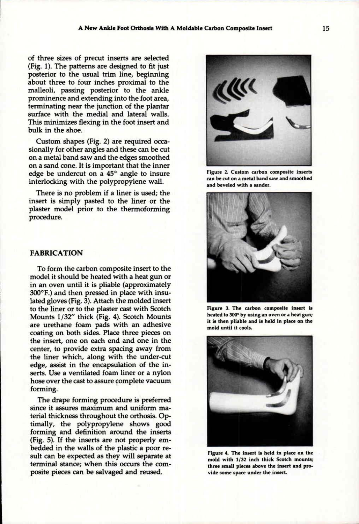of three sizes of precut inserts are selected (Fig. 1). The patterns are designed to fit just posterior to the usual trim line, beginning about three to four inches proximal to the malleoli, passing posterior to the ankle prominence and extending into the foot area, terminating near the junction of the plantar surface with the medial and lateral walls. This minimizes flexing in the foot insert and bulk in the shoe.

Custom shapes (Fig. 2) are required occasionally for other angles and these can be cut on a metal band saw and the edges smoothed on a sand cone. It is important that the inner edge be undercut on a 45° angle to insure interlocking with the polypropylene wall.

There is no problem if a liner is used; the insert is simply pasted to the liner or the plaster model prior to the thermoforming procedure.

#### **FABRICATION**

To form the carbon composite insert to the model it should be heated with a heat gun or in an oven until it is pliable (approximately 300°F.) and then pressed in place with insulated gloves (Fig. 3). Attach the molded insert to the liner or to the plaster cast with Scotch Mounts 1/32" thick (Fig. 4). Scotch Mounts are urethane foam pads with an adhesive coating on both sides. Place three pieces on the insert, one on each end and one in the center, to provide extra spacing away from the liner which, along with the under-cut edge, assist in the encapsulation of the inserts. Use a ventilated foam liner or a nylon hose over the cast to assure complete vacuum forming.

The drape forming procedure is preferred since it assures maximum and uniform material thickness throughout the orthosis. Optimally, the polypropylene shows good forming and definition around the inserts (Fig. 5). If the inserts are not properly embedded in the walls of the plastic a poor result can be expected as they will separate at terminal stance; when this occurs the composite pieces can be salvaged and reused.



**Figure 2. Custom carbon composite inserts can be cut on a metal band saw and smoothed and beveled with a sander.** 



**Figure 3. The carbon composite insert is heated to 300° by using an oven or a heat gun; it is then pliable and is held in place on the mold until it cools.** 



**Figure 4. The insert is held in place on the mold with 1/32 inch thick Scotch mounts; three small pieces above the insert and provide some space under the insert.**